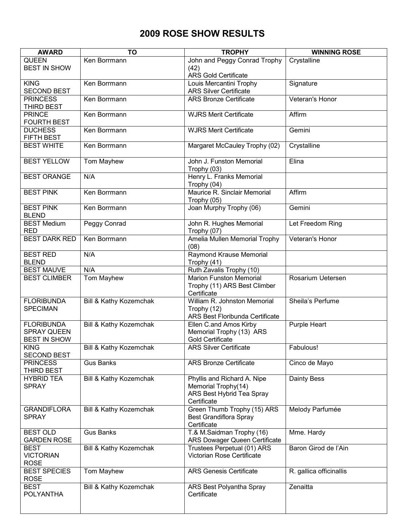## **2009 ROSE SHOW RESULTS**

| <b>AWARD</b>         | TO                     | <b>TROPHY</b>                               | <b>WINNING ROSE</b>     |  |  |
|----------------------|------------------------|---------------------------------------------|-------------------------|--|--|
| <b>QUEEN</b>         | Ken Borrmann           | John and Peggy Conrad Trophy                | Crystalline             |  |  |
| <b>BEST IN SHOW</b>  |                        | (42)                                        |                         |  |  |
|                      |                        | <b>ARS Gold Certificate</b>                 |                         |  |  |
| <b>KING</b>          | Ken Borrmann           | Louis Mercantini Trophy                     | Signature               |  |  |
| <b>SECOND BEST</b>   |                        | <b>ARS Silver Certificate</b>               |                         |  |  |
| <b>PRINCESS</b>      | Ken Borrmann           | <b>ARS Bronze Certificate</b>               | Veteran's Honor         |  |  |
| THIRD BEST           |                        |                                             |                         |  |  |
| <b>PRINCE</b>        | Ken Borrmann           | <b>WJRS Merit Certificate</b>               | Affirm                  |  |  |
| <b>FOURTH BEST</b>   |                        |                                             |                         |  |  |
| <b>DUCHESS</b>       | Ken Borrmann           | <b>WJRS Merit Certificate</b>               | Gemini                  |  |  |
| FIFTH BEST           |                        |                                             |                         |  |  |
| <b>BEST WHITE</b>    | Ken Borrmann           | Margaret McCauley Trophy (02)               | Crystalline             |  |  |
|                      |                        |                                             |                         |  |  |
| <b>BEST YELLOW</b>   | Tom Mayhew             | John J. Funston Memorial                    | Elina                   |  |  |
|                      |                        | Trophy (03)                                 |                         |  |  |
| <b>BEST ORANGE</b>   | N/A                    | Henry L. Franks Memorial                    |                         |  |  |
|                      |                        | Trophy (04)                                 |                         |  |  |
| <b>BEST PINK</b>     | Ken Borrmann           | Maurice R. Sinclair Memorial                | Affirm                  |  |  |
|                      |                        | Trophy (05)                                 |                         |  |  |
| <b>BEST PINK</b>     | Ken Borrmann           | Joan Murphy Trophy (06)                     | Gemini                  |  |  |
| <b>BLEND</b>         |                        |                                             |                         |  |  |
| <b>BEST Medium</b>   | <b>Peggy Conrad</b>    | John R. Hughes Memorial                     | Let Freedom Ring        |  |  |
| <b>RED</b>           |                        | Trophy (07)                                 |                         |  |  |
| <b>BEST DARK RED</b> | Ken Borrmann           | Amelia Mullen Memorial Trophy               | Veteran's Honor         |  |  |
|                      |                        | (08)                                        |                         |  |  |
| <b>BEST RED</b>      | N/A                    | Raymond Krause Memorial                     |                         |  |  |
| <b>BLEND</b>         |                        | Trophy (41)                                 |                         |  |  |
| <b>BEST MAUVE</b>    | N/A                    | Ruth Zavalis Trophy (10)                    |                         |  |  |
| <b>BEST CLIMBER</b>  | Tom Mayhew             | <b>Marion Funston Memorial</b>              | Rosarium Uetersen       |  |  |
|                      |                        | Trophy (11) ARS Best Climber<br>Certificate |                         |  |  |
| <b>FLORIBUNDA</b>    | Bill & Kathy Kozemchak | William R. Johnston Memorial                | Sheila's Perfume        |  |  |
| <b>SPECIMAN</b>      |                        | Trophy (12)                                 |                         |  |  |
|                      |                        | ARS Best Floribunda Certificate             |                         |  |  |
| <b>FLORIBUNDA</b>    | Bill & Kathy Kozemchak | Ellen C.and Amos Kirby                      | <b>Purple Heart</b>     |  |  |
| <b>SPRAY QUEEN</b>   |                        | Memorial Trophy (13) ARS                    |                         |  |  |
| <b>BEST IN SHOW</b>  |                        | <b>Gold Certificate</b>                     |                         |  |  |
| <b>KING</b>          | Bill & Kathy Kozemchak | <b>ARS Silver Certificate</b>               | Fabulous!               |  |  |
| <b>SECOND BEST</b>   |                        |                                             |                         |  |  |
| <b>PRINCESS</b>      | <b>Gus Banks</b>       | <b>ARS Bronze Certificate</b>               | Cinco de Mayo           |  |  |
| THIRD BEST           |                        |                                             |                         |  |  |
| <b>HYBRID TEA</b>    | Bill & Kathy Kozemchak | Phyllis and Richard A. Nipe                 | <b>Dainty Bess</b>      |  |  |
| <b>SPRAY</b>         |                        | Memorial Trophy(14)                         |                         |  |  |
|                      |                        | ARS Best Hybrid Tea Spray                   |                         |  |  |
|                      |                        | Certificate                                 |                         |  |  |
| <b>GRANDIFLORA</b>   | Bill & Kathy Kozemchak | Green Thumb Trophy (15) ARS                 | Melody Parfumée         |  |  |
| <b>SPRAY</b>         |                        | Best Grandiflora Spray                      |                         |  |  |
|                      |                        | Certificate                                 |                         |  |  |
| <b>BEST OLD</b>      | <b>Gus Banks</b>       | T.& M.Saidman Trophy (16)                   | Mme. Hardy              |  |  |
| <b>GARDEN ROSE</b>   |                        | ARS Dowager Queen Certificate               |                         |  |  |
| <b>BEST</b>          | Bill & Kathy Kozemchak | Trustees Perpetual (01) ARS                 | Baron Girod de l'Ain    |  |  |
| <b>VICTORIAN</b>     |                        | Victorian Rose Certificate                  |                         |  |  |
| <b>ROSE</b>          |                        |                                             |                         |  |  |
| <b>BEST SPECIES</b>  | Tom Mayhew             | <b>ARS Genesis Certificate</b>              | R. gallica officinallis |  |  |
| <b>ROSE</b>          |                        |                                             |                         |  |  |
| <b>BEST</b>          | Bill & Kathy Kozemchak | ARS Best Polyantha Spray                    | Zenaitta                |  |  |
| <b>POLYANTHA</b>     |                        | Certificate                                 |                         |  |  |
|                      |                        |                                             |                         |  |  |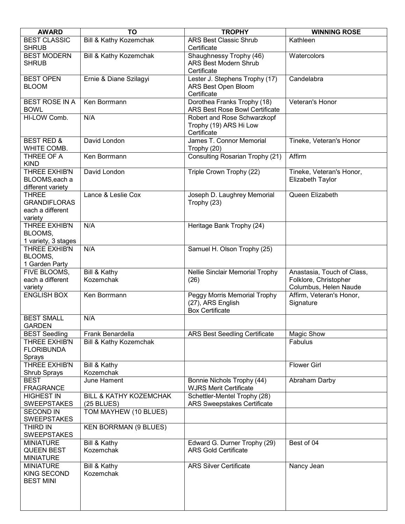| <b>AWARD</b>                                                       | TO                                                | <b>TROPHY</b>                                                               | <b>WINNING ROSE</b>                                                          |  |  |
|--------------------------------------------------------------------|---------------------------------------------------|-----------------------------------------------------------------------------|------------------------------------------------------------------------------|--|--|
| <b>BEST CLASSIC</b><br><b>SHRUB</b>                                | <b>Bill &amp; Kathy Kozemchak</b>                 | <b>ARS Best Classic Shrub</b><br>Certificate                                | Kathleen                                                                     |  |  |
| <b>BEST MODERN</b><br><b>SHRUB</b>                                 | Bill & Kathy Kozemchak                            | Shaughnessy Trophy (46)<br><b>ARS Best Modern Shrub</b><br>Certificate      | Watercolors                                                                  |  |  |
| <b>BEST OPEN</b><br><b>BLOOM</b>                                   | Ernie & Diane Szilagyi                            | Lester J. Stephens Trophy (17)<br>ARS Best Open Bloom<br>Certificate        | Candelabra                                                                   |  |  |
| <b>BEST ROSE IN A</b><br><b>BOWL</b>                               | Ken Borrmann                                      | Dorothea Franks Trophy (18)<br>ARS Best Rose Bowl Certificate               | Veteran's Honor                                                              |  |  |
| HI-LOW Comb.                                                       | N/A                                               | Robert and Rose Schwarzkopf<br>Trophy (19) ARS Hi Low<br>Certificate        |                                                                              |  |  |
| <b>BEST RED &amp;</b><br>WHITE COMB.                               | David London                                      | James T. Connor Memorial<br>Trophy (20)                                     | Tineke, Veteran's Honor                                                      |  |  |
| THREE OF A<br><b>KIND</b>                                          | Ken Borrmann                                      | Consulting Rosarian Trophy (21)                                             | Affirm                                                                       |  |  |
| THREE EXHIB'N<br>BLOOMS, each a<br>different variety               | David London                                      | Triple Crown Trophy (22)                                                    | Tineke, Veteran's Honor,<br>Elizabeth Taylor                                 |  |  |
| <b>THREE</b><br><b>GRANDIFLORAS</b><br>each a different<br>variety | Lance & Leslie Cox                                | Joseph D. Laughrey Memorial<br>Trophy (23)                                  | Queen Elizabeth                                                              |  |  |
| <b>THREE EXHIB'N</b><br>BLOOMS,<br>1 variety, 3 stages             | N/A                                               | Heritage Bank Trophy (24)                                                   |                                                                              |  |  |
| <b>THREE EXHIB'N</b><br>BLOOMS,<br>1 Garden Party                  | N/A                                               | Samuel H. Olson Trophy (25)                                                 |                                                                              |  |  |
| FIVE BLOOMS,<br>each a different<br>variety                        | Bill & Kathy<br>Kozemchak                         | Nellie Sinclair Memorial Trophy<br>(26)                                     | Anastasia, Touch of Class,<br>Folklore, Christopher<br>Columbus, Helen Naude |  |  |
| <b>ENGLISH BOX</b>                                                 | Ken Borrmann                                      | Peggy Morris Memorial Trophy<br>(27), ARS English<br><b>Box Certificate</b> | Affirm, Veteran's Honor,<br>Signature                                        |  |  |
| <b>BEST SMALL</b><br>GARDEN                                        | N/A                                               |                                                                             |                                                                              |  |  |
| <b>BEST Seedling</b>                                               | Frank Benardella                                  | <b>ARS Best Seedling Certificate</b>                                        | Magic Show                                                                   |  |  |
| THREE EXHIB'N<br><b>FLORIBUNDA</b><br>Sprays                       | Bill & Kathy Kozemchak                            |                                                                             | Fabulus                                                                      |  |  |
| <b>THREE EXHIB'N</b><br>Shrub Sprays                               | Bill & Kathy<br>Kozemchak                         |                                                                             | <b>Flower Girl</b>                                                           |  |  |
| <b>BEST</b><br><b>FRAGRANCE</b>                                    | June Hament                                       | Bonnie Nichols Trophy (44)<br><b>WJRS Merit Certificate</b>                 | Abraham Darby                                                                |  |  |
| <b>HIGHEST IN</b><br><b>SWEEPSTAKES</b>                            | <b>BILL &amp; KATHY KOZEMCHAK</b><br>$(25$ BLUES) | Schettler-Mentel Trophy (28)<br><b>ARS Sweepstakes Certificate</b>          |                                                                              |  |  |
| <b>SECOND IN</b><br><b>SWEEPSTAKES</b>                             | TOM MAYHEW (10 BLUES)                             |                                                                             |                                                                              |  |  |
| <b>THIRD IN</b><br><b>SWEEPSTAKES</b>                              | <b>KEN BORRMAN (9 BLUES)</b>                      |                                                                             |                                                                              |  |  |
| <b>MINIATURE</b><br><b>QUEEN BEST</b><br><b>MINIATURE</b>          | <b>Bill &amp; Kathy</b><br>Kozemchak              | Edward G. Durner Trophy (29)<br><b>ARS Gold Certificate</b>                 | Best of 04                                                                   |  |  |
| <b>MINIATURE</b><br><b>KING SECOND</b><br><b>BEST MINI</b>         | Bill & Kathy<br>Kozemchak                         | <b>ARS Silver Certificate</b>                                               | Nancy Jean                                                                   |  |  |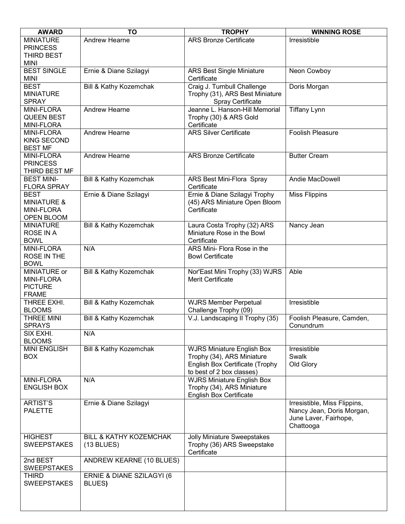| <b>AWARD</b>                            | <b>TO</b>                         | <b>TROPHY</b>                                                | <b>WINNING ROSE</b>          |  |
|-----------------------------------------|-----------------------------------|--------------------------------------------------------------|------------------------------|--|
| <b>MINIATURE</b>                        | <b>Andrew Hearne</b>              | <b>ARS Bronze Certificate</b>                                | Irresistible                 |  |
| <b>PRINCESS</b>                         |                                   |                                                              |                              |  |
| THIRD BEST                              |                                   |                                                              |                              |  |
| <b>MINI</b>                             |                                   |                                                              |                              |  |
| <b>BEST SINGLE</b>                      | Ernie & Diane Szilagyi            | <b>ARS Best Single Miniature</b>                             | Neon Cowboy                  |  |
| <b>MINI</b>                             |                                   | Certificate                                                  |                              |  |
| <b>BEST</b>                             | Bill & Kathy Kozemchak            | Craig J. Turnbull Challenge                                  | Doris Morgan                 |  |
| <b>MINIATURE</b>                        |                                   | Trophy (31), ARS Best Miniature                              |                              |  |
| <b>SPRAY</b>                            |                                   | <b>Spray Certificate</b>                                     |                              |  |
| MINI-FLORA                              | <b>Andrew Hearne</b>              | Jeanne L. Hanson-Hill Memorial                               | <b>Tiffany Lynn</b>          |  |
| <b>QUEEN BEST</b>                       |                                   | Trophy (30) & ARS Gold                                       |                              |  |
| <b>MINI-FLORA</b>                       |                                   | Certificate                                                  |                              |  |
| <b>MINI-FLORA</b>                       | Andrew Hearne                     | <b>ARS Silver Certificate</b>                                | <b>Foolish Pleasure</b>      |  |
| <b>KING SECOND</b>                      |                                   |                                                              |                              |  |
| <b>BEST MF</b>                          |                                   |                                                              |                              |  |
| <b>MINI-FLORA</b>                       | <b>Andrew Hearne</b>              | <b>ARS Bronze Certificate</b>                                | <b>Butter Cream</b>          |  |
| <b>PRINCESS</b>                         |                                   |                                                              |                              |  |
| THIRD BEST MF                           |                                   |                                                              |                              |  |
| <b>BEST MINI-</b>                       | Bill & Kathy Kozemchak            | ARS Best Mini-Flora Spray                                    | Andie MacDowell              |  |
| <b>FLORA SPRAY</b>                      |                                   | Certificate                                                  |                              |  |
| <b>BEST</b>                             | Ernie & Diane Szilagyi            | Ernie & Diane Szilagyi Trophy                                | <b>Miss Flippins</b>         |  |
| <b>MINIATURE &amp;</b>                  |                                   | (45) ARS Miniature Open Bloom                                |                              |  |
| <b>MINI-FLORA</b>                       |                                   | Certificate                                                  |                              |  |
| OPEN BLOOM<br><b>MINIATURE</b>          |                                   |                                                              |                              |  |
| ROSE IN A                               | Bill & Kathy Kozemchak            | Laura Costa Trophy (32) ARS<br>Miniature Rose in the Bowl    | Nancy Jean                   |  |
| <b>BOWL</b>                             |                                   | Certificate                                                  |                              |  |
| <b>MINI-FLORA</b>                       | N/A                               | ARS Mini- Flora Rose in the                                  |                              |  |
| ROSE IN THE                             |                                   | <b>Bowl Certificate</b>                                      |                              |  |
| <b>BOWL</b>                             |                                   |                                                              |                              |  |
| MINIATURE or                            | Bill & Kathy Kozemchak            | Nor'East Mini Trophy (33) WJRS                               | Able                         |  |
| <b>MINI-FLORA</b>                       |                                   | Merit Certificate                                            |                              |  |
| <b>PICTURE</b>                          |                                   |                                                              |                              |  |
| <b>FRAME</b>                            |                                   |                                                              |                              |  |
| THREE EXHI.                             | Bill & Kathy Kozemchak            | <b>WJRS Member Perpetual</b>                                 | Irresistible                 |  |
| <b>BLOOMS</b>                           |                                   | Challenge Trophy (09)                                        |                              |  |
| THREE MINI                              | Bill & Kathy Kozemchak            | V.J. Landscaping II Trophy (35)                              | Foolish Pleasure, Camden,    |  |
| <b>SPRAYS</b>                           |                                   |                                                              | Conundrum                    |  |
| SIX EXHI.                               | N/A                               |                                                              |                              |  |
| <b>BLOOMS</b>                           |                                   |                                                              |                              |  |
| <b>MINI ENGLISH</b>                     | Bill & Kathy Kozemchak            | <b>WJRS Miniature English Box</b>                            | Irresistible                 |  |
| <b>BOX</b>                              |                                   | Trophy (34), ARS Miniature                                   | Swalk                        |  |
|                                         |                                   | English Box Certificate (Trophy                              | Old Glory                    |  |
|                                         |                                   | to best of 2 box classes)                                    |                              |  |
| <b>MINI-FLORA</b><br><b>ENGLISH BOX</b> | N/A                               | <b>WJRS Miniature English Box</b>                            |                              |  |
|                                         |                                   | Trophy (34), ARS Miniature<br><b>English Box Certificate</b> |                              |  |
| <b>ARTIST'S</b>                         | Ernie & Diane Szilagyi            |                                                              | Irresistible, Miss Flippins, |  |
| <b>PALETTE</b>                          |                                   |                                                              | Nancy Jean, Doris Morgan,    |  |
|                                         |                                   |                                                              | June Laver, Fairhope,        |  |
|                                         |                                   |                                                              | Chattooga                    |  |
|                                         |                                   |                                                              |                              |  |
| <b>HIGHEST</b><br><b>SWEEPSTAKES</b>    | <b>BILL &amp; KATHY KOZEMCHAK</b> | <b>Jolly Miniature Sweepstakes</b>                           |                              |  |
|                                         | $(13$ BLUES)                      | Trophy (36) ARS Sweepstake<br>Certificate                    |                              |  |
| 2nd BEST                                | ANDREW KEARNE (10 BLUES)          |                                                              |                              |  |
| <b>SWEEPSTAKES</b>                      |                                   |                                                              |                              |  |
| <b>THIRD</b>                            | ERNIE & DIANE SZILAGYI (6         |                                                              |                              |  |
| <b>SWEEPSTAKES</b>                      | BLUES)                            |                                                              |                              |  |
|                                         |                                   |                                                              |                              |  |
|                                         |                                   |                                                              |                              |  |
|                                         |                                   |                                                              |                              |  |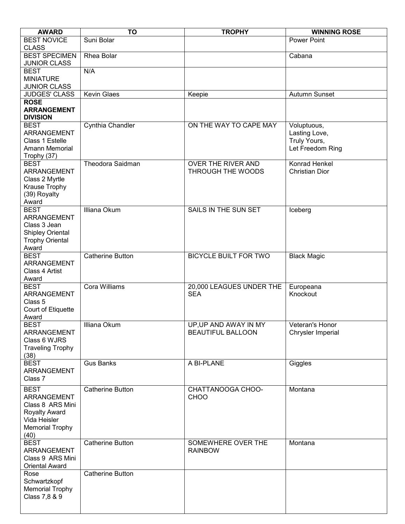| <b>AWARD</b>                                                                                                      | <b>TO</b>               | <b>TROPHY</b>                                     | <b>WINNING ROSE</b>                                              |  |  |
|-------------------------------------------------------------------------------------------------------------------|-------------------------|---------------------------------------------------|------------------------------------------------------------------|--|--|
| <b>BEST NOVICE</b><br><b>CLASS</b>                                                                                | Suni Bolar              |                                                   | <b>Power Point</b>                                               |  |  |
| <b>BEST SPECIMEN</b><br><b>JUNIOR CLASS</b>                                                                       | Rhea Bolar              |                                                   | Cabana                                                           |  |  |
| <b>BEST</b><br><b>MINIATURE</b><br><b>JUNIOR CLASS</b>                                                            | N/A                     |                                                   |                                                                  |  |  |
| <b>JUDGES' CLASS</b>                                                                                              | <b>Kevin Glaes</b>      | Keepie                                            | Autumn Sunset                                                    |  |  |
| <b>ROSE</b><br><b>ARRANGEMENT</b><br><b>DIVISION</b>                                                              |                         |                                                   |                                                                  |  |  |
| <b>BEST</b><br>ARRANGEMENT<br>Class 1 Estelle<br>Amann Memorial<br>Trophy (37)                                    | Cynthia Chandler        | ON THE WAY TO CAPE MAY                            | Voluptuous,<br>Lasting Love,<br>Truly Yours,<br>Let Freedom Ring |  |  |
| <b>BEST</b><br>ARRANGEMENT<br>Class 2 Myrtle<br>Krause Trophy<br>(39) Royalty<br>Award                            | Theodora Saidman        | OVER THE RIVER AND<br>THROUGH THE WOODS           | Konrad Henkel<br><b>Christian Dior</b>                           |  |  |
| <b>BEST</b><br>ARRANGEMENT<br>Class 3 Jean<br>Shipley Oriental<br><b>Trophy Oriental</b><br>Award                 | Illiana Okum            | SAILS IN THE SUN SET                              | Iceberg                                                          |  |  |
| <b>BEST</b><br>ARRANGEMENT<br>Class 4 Artist<br>Award                                                             | <b>Catherine Button</b> | <b>BICYCLE BUILT FOR TWO</b>                      | <b>Black Magic</b>                                               |  |  |
| <b>BEST</b><br><b>ARRANGEMENT</b><br>Class <sub>5</sub><br>Court of Etiquette<br>Award                            | Cora Williams           | 20,000 LEAGUES UNDER THE<br><b>SEA</b>            | Europeana<br>Knockout                                            |  |  |
| <b>BEST</b><br>ARRANGEMENT<br>Class 6 WJRS<br><b>Traveling Trophy</b><br>(38)                                     | Illiana Okum            | UP, UP AND AWAY IN MY<br><b>BEAUTIFUL BALLOON</b> | Veteran's Honor<br>Chrysler Imperial                             |  |  |
| <b>BEST</b><br>ARRANGEMENT<br>Class 7                                                                             | <b>Gus Banks</b>        | A BI-PLANE                                        | Giggles                                                          |  |  |
| <b>BEST</b><br>ARRANGEMENT<br>Class 8 ARS Mini<br>Royalty Award<br>Vida Heisler<br><b>Memorial Trophy</b><br>(40) | <b>Catherine Button</b> | CHATTANOOGA CHOO-<br><b>CHOO</b>                  | Montana                                                          |  |  |
| <b>BEST</b><br>ARRANGEMENT<br>Class 9 ARS Mini<br><b>Oriental Award</b>                                           | <b>Catherine Button</b> | SOMEWHERE OVER THE<br><b>RAINBOW</b>              | Montana                                                          |  |  |
| Rose<br>Schwartzkopf<br><b>Memorial Trophy</b><br>Class 7,8 & 9                                                   | <b>Catherine Button</b> |                                                   |                                                                  |  |  |